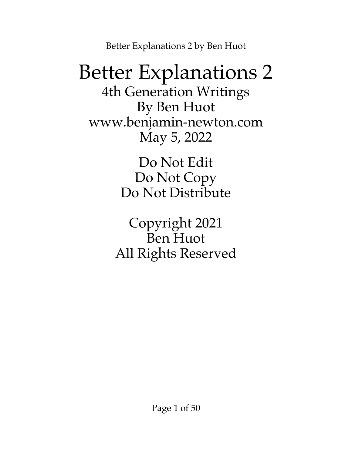## Better Explanations 2

4th Generation Writings By Ben Huot [www.benjamin-newton.com](http://www.benjamin-newton.com/) May 5, 2022

> Do Not Edit Do Not Copy Do Not Distribute

Copyright 2021 Ben Huot All Rights Reserved

Page 1 of 50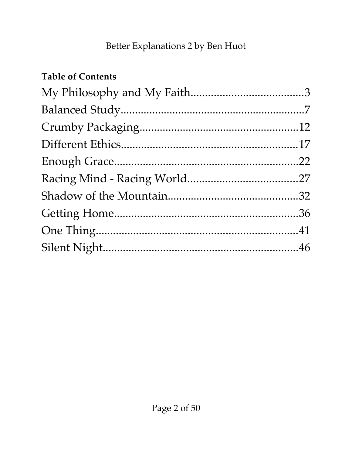### **Table of Contents**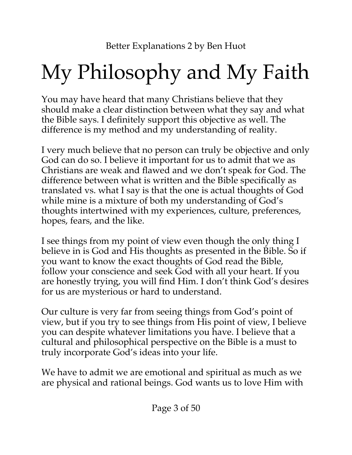# <span id="page-2-0"></span>My Philosophy and My Faith

You may have heard that many Christians believe that they should make a clear distinction between what they say and what the Bible says. I definitely support this objective as well. The difference is my method and my understanding of reality.

I very much believe that no person can truly be objective and only God can do so. I believe it important for us to admit that we as Christians are weak and flawed and we don't speak for God. The difference between what is written and the Bible specifically as translated vs. what I say is that the one is actual thoughts of God while mine is a mixture of both my understanding of God's thoughts intertwined with my experiences, culture, preferences, hopes, fears, and the like.

I see things from my point of view even though the only thing I believe in is God and His thoughts as presented in the Bible. So if you want to know the exact thoughts of God read the Bible, follow your conscience and seek God with all your heart. If you are honestly trying, you will find Him. I don't think God's desires for us are mysterious or hard to understand.

Our culture is very far from seeing things from God's point of view, but if you try to see things from His point of view, I believe you can despite whatever limitations you have. I believe that a cultural and philosophical perspective on the Bible is a must to truly incorporate God's ideas into your life.

We have to admit we are emotional and spiritual as much as we are physical and rational beings. God wants us to love Him with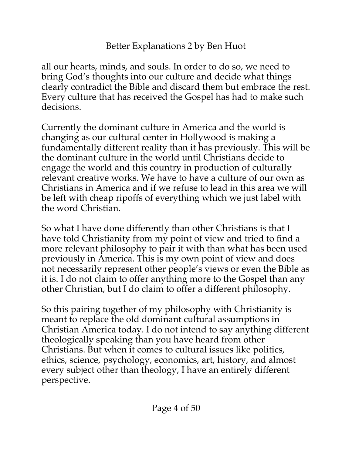all our hearts, minds, and souls. In order to do so, we need to bring God's thoughts into our culture and decide what things clearly contradict the Bible and discard them but embrace the rest. Every culture that has received the Gospel has had to make such decisions.

Currently the dominant culture in America and the world is changing as our cultural center in Hollywood is making a fundamentally different reality than it has previously. This will be the dominant culture in the world until Christians decide to engage the world and this country in production of culturally relevant creative works. We have to have a culture of our own as Christians in America and if we refuse to lead in this area we will be left with cheap ripoffs of everything which we just label with the word Christian.

So what I have done differently than other Christians is that I have told Christianity from my point of view and tried to find a more relevant philosophy to pair it with than what has been used previously in America. This is my own point of view and does not necessarily represent other people's views or even the Bible as it is. I do not claim to offer anything more to the Gospel than any other Christian, but I do claim to offer a different philosophy.

So this pairing together of my philosophy with Christianity is meant to replace the old dominant cultural assumptions in Christian America today. I do not intend to say anything different theologically speaking than you have heard from other Christians. But when it comes to cultural issues like politics, ethics, science, psychology, economics, art, history, and almost every subject other than theology, I have an entirely different perspective.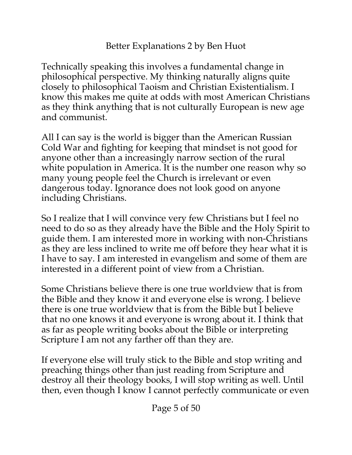Technically speaking this involves a fundamental change in philosophical perspective. My thinking naturally aligns quite closely to philosophical Taoism and Christian Existentialism. I know this makes me quite at odds with most American Christians as they think anything that is not culturally European is new age and communist.

All I can say is the world is bigger than the American Russian Cold War and fighting for keeping that mindset is not good for anyone other than a increasingly narrow section of the rural white population in America. It is the number one reason why so many young people feel the Church is irrelevant or even dangerous today. Ignorance does not look good on anyone including Christians.

So I realize that I will convince very few Christians but I feel no need to do so as they already have the Bible and the Holy Spirit to guide them. I am interested more in working with non-Christians as they are less inclined to write me off before they hear what it is I have to say. I am interested in evangelism and some of them are interested in a different point of view from a Christian.

Some Christians believe there is one true worldview that is from the Bible and they know it and everyone else is wrong. I believe there is one true worldview that is from the Bible but I believe that no one knows it and everyone is wrong about it. I think that as far as people writing books about the Bible or interpreting Scripture I am not any farther off than they are.

If everyone else will truly stick to the Bible and stop writing and preaching things other than just reading from Scripture and destroy all their theology books, I will stop writing as well. Until then, even though I know I cannot perfectly communicate or even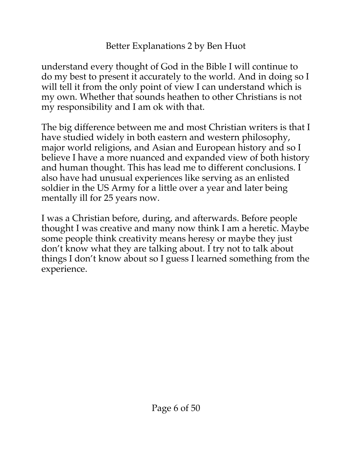understand every thought of God in the Bible I will continue to do my best to present it accurately to the world. And in doing so I will tell it from the only point of view I can understand which is my own. Whether that sounds heathen to other Christians is not my responsibility and I am ok with that.

The big difference between me and most Christian writers is that I have studied widely in both eastern and western philosophy, major world religions, and Asian and European history and so I believe I have a more nuanced and expanded view of both history and human thought. This has lead me to different conclusions. I also have had unusual experiences like serving as an enlisted soldier in the US Army for a little over a year and later being mentally ill for 25 years now.

I was a Christian before, during, and afterwards. Before people thought I was creative and many now think I am a heretic. Maybe some people think creativity means heresy or maybe they just don't know what they are talking about. I try not to talk about things I don't know about so I guess I learned something from the experience.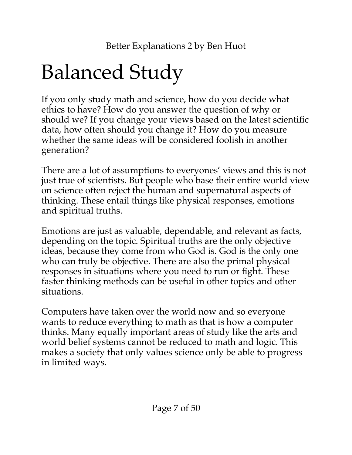# <span id="page-6-0"></span>Balanced Study

If you only study math and science, how do you decide what ethics to have? How do you answer the question of why or should we? If you change your views based on the latest scientific data, how often should you change it? How do you measure whether the same ideas will be considered foolish in another generation?

There are a lot of assumptions to everyones' views and this is not just true of scientists. But people who base their entire world view on science often reject the human and supernatural aspects of thinking. These entail things like physical responses, emotions and spiritual truths.

Emotions are just as valuable, dependable, and relevant as facts, depending on the topic. Spiritual truths are the only objective ideas, because they come from who God is. God is the only one who can truly be objective. There are also the primal physical responses in situations where you need to run or fight. These faster thinking methods can be useful in other topics and other situations.

Computers have taken over the world now and so everyone wants to reduce everything to math as that is how a computer thinks. Many equally important areas of study like the arts and world belief systems cannot be reduced to math and logic. This makes a society that only values science only be able to progress in limited ways.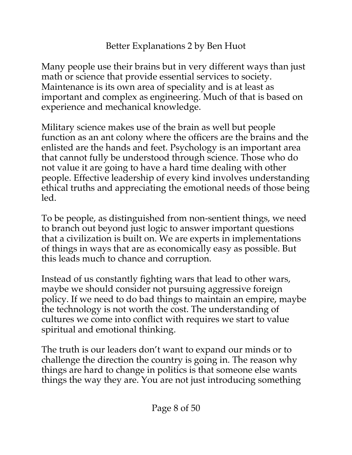Many people use their brains but in very different ways than just math or science that provide essential services to society. Maintenance is its own area of speciality and is at least as important and complex as engineering. Much of that is based on experience and mechanical knowledge.

Military science makes use of the brain as well but people function as an ant colony where the officers are the brains and the enlisted are the hands and feet. Psychology is an important area that cannot fully be understood through science. Those who do not value it are going to have a hard time dealing with other people. Effective leadership of every kind involves understanding ethical truths and appreciating the emotional needs of those being led.

To be people, as distinguished from non-sentient things, we need to branch out beyond just logic to answer important questions that a civilization is built on. We are experts in implementations of things in ways that are as economically easy as possible. But this leads much to chance and corruption.

Instead of us constantly fighting wars that lead to other wars, maybe we should consider not pursuing aggressive foreign policy. If we need to do bad things to maintain an empire, maybe the technology is not worth the cost. The understanding of cultures we come into conflict with requires we start to value spiritual and emotional thinking.

The truth is our leaders don't want to expand our minds or to challenge the direction the country is going in. The reason why things are hard to change in politics is that someone else wants things the way they are. You are not just introducing something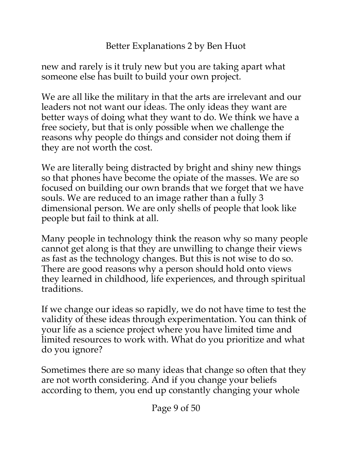new and rarely is it truly new but you are taking apart what someone else has built to build your own project.

We are all like the military in that the arts are irrelevant and our leaders not not want our ideas. The only ideas they want are better ways of doing what they want to do. We think we have a free society, but that is only possible when we challenge the reasons why people do things and consider not doing them if they are not worth the cost.

We are literally being distracted by bright and shiny new things so that phones have become the opiate of the masses. We are so focused on building our own brands that we forget that we have souls. We are reduced to an image rather than a fully 3 dimensional person. We are only shells of people that look like people but fail to think at all.

Many people in technology think the reason why so many people cannot get along is that they are unwilling to change their views as fast as the technology changes. But this is not wise to do so. There are good reasons why a person should hold onto views they learned in childhood, life experiences, and through spiritual traditions.

If we change our ideas so rapidly, we do not have time to test the validity of these ideas through experimentation. You can think of your life as a science project where you have limited time and limited resources to work with. What do you prioritize and what do you ignore?

Sometimes there are so many ideas that change so often that they are not worth considering. And if you change your beliefs according to them, you end up constantly changing your whole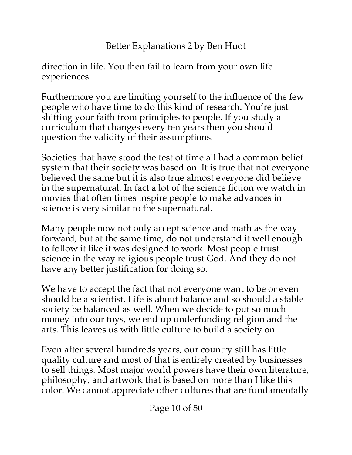direction in life. You then fail to learn from your own life experiences.

Furthermore you are limiting yourself to the influence of the few people who have time to do this kind of research. You're just shifting your faith from principles to people. If you study a curriculum that changes every ten years then you should question the validity of their assumptions.

Societies that have stood the test of time all had a common belief system that their society was based on. It is true that not everyone believed the same but it is also true almost everyone did believe in the supernatural. In fact a lot of the science fiction we watch in movies that often times inspire people to make advances in science is very similar to the supernatural.

Many people now not only accept science and math as the way forward, but at the same time, do not understand it well enough to follow it like it was designed to work. Most people trust science in the way religious people trust God. And they do not have any better justification for doing so.

We have to accept the fact that not everyone want to be or even should be a scientist. Life is about balance and so should a stable society be balanced as well. When we decide to put so much money into our toys, we end up underfunding religion and the arts. This leaves us with little culture to build a society on.

Even after several hundreds years, our country still has little quality culture and most of that is entirely created by businesses to sell things. Most major world powers have their own literature, philosophy, and artwork that is based on more than I like this color. We cannot appreciate other cultures that are fundamentally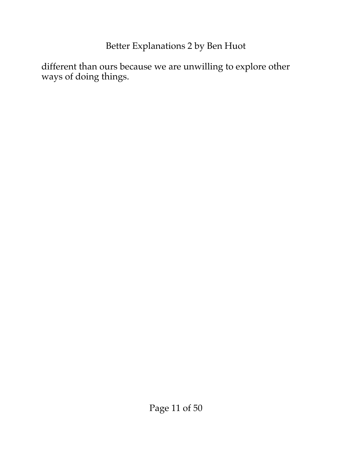different than ours because we are unwilling to explore other ways of doing things.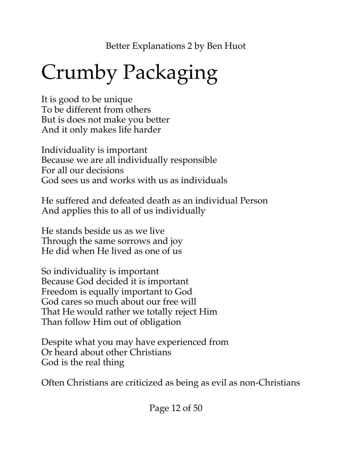# <span id="page-11-0"></span>Crumby Packaging

It is good to be unique To be different from others But is does not make you better And it only makes life harder

Individuality is important Because we are all individually responsible For all our decisions God sees us and works with us as individuals

He suffered and defeated death as an individual Person And applies this to all of us individually

He stands beside us as we live Through the same sorrows and joy He did when He lived as one of us

So individuality is important Because God decided it is important Freedom is equally important to God God cares so much about our free will That He would rather we totally reject Him Than follow Him out of obligation

Despite what you may have experienced from Or heard about other Christians God is the real thing

Often Christians are criticized as being as evil as non-Christians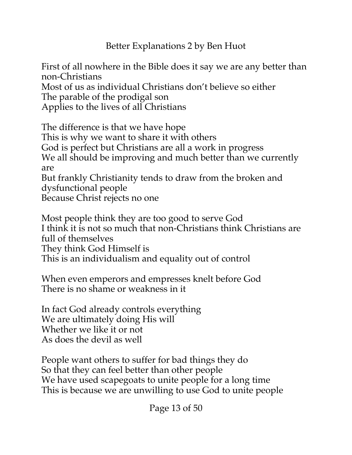First of all nowhere in the Bible does it say we are any better than non-Christians

Most of us as individual Christians don't believe so either The parable of the prodigal son

Applies to the lives of all Christians

The difference is that we have hope This is why we want to share it with others God is perfect but Christians are all a work in progress We all should be improving and much better than we currently are But frankly Christianity tends to draw from the broken and dysfunctional people

Because Christ rejects no one

Most people think they are too good to serve God I think it is not so much that non-Christians think Christians are full of themselves They think God Himself is This is an individualism and equality out of control

When even emperors and empresses knelt before God There is no shame or weakness in it

In fact God already controls everything We are ultimately doing His will Whether we like it or not As does the devil as well

People want others to suffer for bad things they do So that they can feel better than other people We have used scapegoats to unite people for a long time This is because we are unwilling to use God to unite people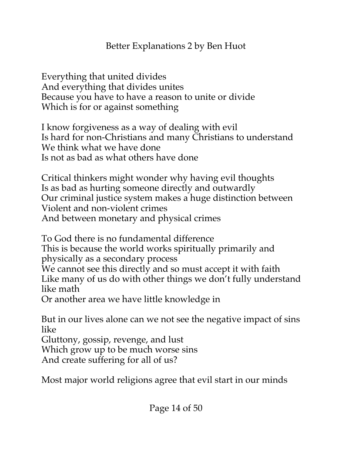Everything that united divides And everything that divides unites Because you have to have a reason to unite or divide Which is for or against something

I know forgiveness as a way of dealing with evil Is hard for non-Christians and many Christians to understand We think what we have done Is not as bad as what others have done

Critical thinkers might wonder why having evil thoughts Is as bad as hurting someone directly and outwardly Our criminal justice system makes a huge distinction between Violent and non-violent crimes And between monetary and physical crimes

To God there is no fundamental difference This is because the world works spiritually primarily and physically as a secondary process We cannot see this directly and so must accept it with faith Like many of us do with other things we don't fully understand like math Or another area we have little knowledge in

But in our lives alone can we not see the negative impact of sins like

Gluttony, gossip, revenge, and lust

Which grow up to be much worse sins

And create suffering for all of us?

Most major world religions agree that evil start in our minds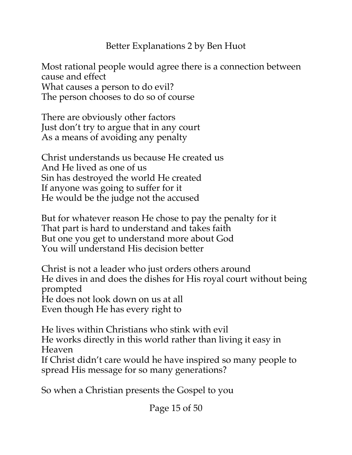Most rational people would agree there is a connection between cause and effect What causes a person to do evil? The person chooses to do so of course

There are obviously other factors Just don't try to argue that in any court As a means of avoiding any penalty

Christ understands us because He created us And He lived as one of us Sin has destroyed the world He created If anyone was going to suffer for it He would be the judge not the accused

But for whatever reason He chose to pay the penalty for it That part is hard to understand and takes faith But one you get to understand more about God You will understand His decision better

Christ is not a leader who just orders others around He dives in and does the dishes for His royal court without being prompted He does not look down on us at all Even though He has every right to

He lives within Christians who stink with evil He works directly in this world rather than living it easy in Heaven If Christ didn't care would he have inspired so many people to

spread His message for so many generations?

So when a Christian presents the Gospel to you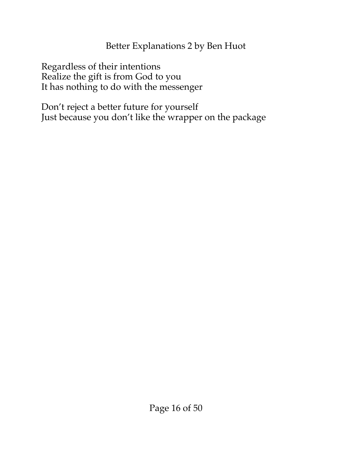Regardless of their intentions Realize the gift is from God to you It has nothing to do with the messenger

Don't reject a better future for yourself Just because you don't like the wrapper on the package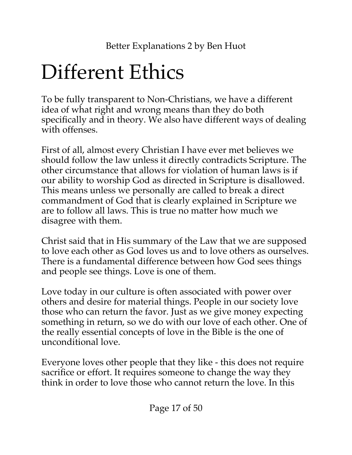# <span id="page-16-0"></span>Different Ethics

To be fully transparent to Non-Christians, we have a different idea of what right and wrong means than they do both specifically and in theory. We also have different ways of dealing with offenses.

First of all, almost every Christian I have ever met believes we should follow the law unless it directly contradicts Scripture. The other circumstance that allows for violation of human laws is if our ability to worship God as directed in Scripture is disallowed. This means unless we personally are called to break a direct commandment of God that is clearly explained in Scripture we are to follow all laws. This is true no matter how much we disagree with them.

Christ said that in His summary of the Law that we are supposed to love each other as God loves us and to love others as ourselves. There is a fundamental difference between how God sees things and people see things. Love is one of them.

Love today in our culture is often associated with power over others and desire for material things. People in our society love those who can return the favor. Just as we give money expecting something in return, so we do with our love of each other. One of the really essential concepts of love in the Bible is the one of unconditional love.

Everyone loves other people that they like - this does not require sacrifice or effort. It requires someone to change the way they think in order to love those who cannot return the love. In this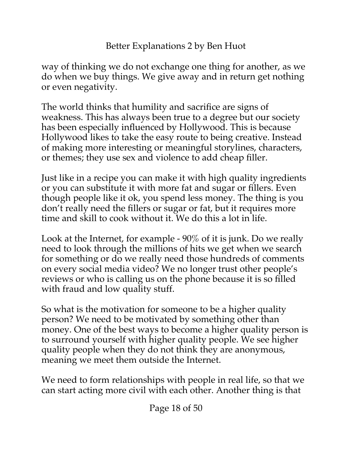way of thinking we do not exchange one thing for another, as we do when we buy things. We give away and in return get nothing or even negativity.

The world thinks that humility and sacrifice are signs of weakness. This has always been true to a degree but our society has been especially influenced by Hollywood. This is because Hollywood likes to take the easy route to being creative. Instead of making more interesting or meaningful storylines, characters, or themes; they use sex and violence to add cheap filler.

Just like in a recipe you can make it with high quality ingredients or you can substitute it with more fat and sugar or fillers. Even though people like it ok, you spend less money. The thing is you don't really need the fillers or sugar or fat, but it requires more time and skill to cook without it. We do this a lot in life.

Look at the Internet, for example - 90% of it is junk. Do we really need to look through the millions of hits we get when we search for something or do we really need those hundreds of comments on every social media video? We no longer trust other people's reviews or who is calling us on the phone because it is so filled with fraud and low quality stuff.

So what is the motivation for someone to be a higher quality person? We need to be motivated by something other than money. One of the best ways to become a higher quality person is to surround yourself with higher quality people. We see higher quality people when they do not think they are anonymous, meaning we meet them outside the Internet.

We need to form relationships with people in real life, so that we can start acting more civil with each other. Another thing is that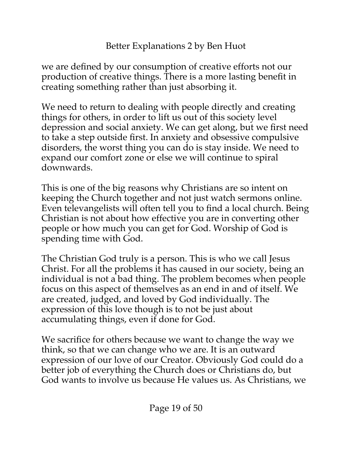we are defined by our consumption of creative efforts not our production of creative things. There is a more lasting benefit in creating something rather than just absorbing it.

We need to return to dealing with people directly and creating things for others, in order to lift us out of this society level depression and social anxiety. We can get along, but we first need to take a step outside first. In anxiety and obsessive compulsive disorders, the worst thing you can do is stay inside. We need to expand our comfort zone or else we will continue to spiral downwards.

This is one of the big reasons why Christians are so intent on keeping the Church together and not just watch sermons online. Even televangelists will often tell you to find a local church. Being Christian is not about how effective you are in converting other people or how much you can get for God. Worship of God is spending time with God.

The Christian God truly is a person. This is who we call Jesus Christ. For all the problems it has caused in our society, being an individual is not a bad thing. The problem becomes when people focus on this aspect of themselves as an end in and of itself. We are created, judged, and loved by God individually. The expression of this love though is to not be just about accumulating things, even if done for God.

We sacrifice for others because we want to change the way we think, so that we can change who we are. It is an outward expression of our love of our Creator. Obviously God could do a better job of everything the Church does or Christians do, but God wants to involve us because He values us. As Christians, we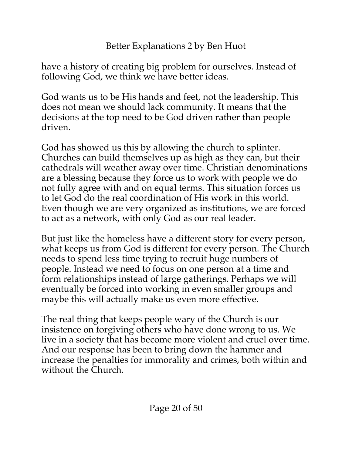have a history of creating big problem for ourselves. Instead of following God, we think we have better ideas.

God wants us to be His hands and feet, not the leadership. This does not mean we should lack community. It means that the decisions at the top need to be God driven rather than people driven.

God has showed us this by allowing the church to splinter. Churches can build themselves up as high as they can, but their cathedrals will weather away over time. Christian denominations are a blessing because they force us to work with people we do not fully agree with and on equal terms. This situation forces us to let God do the real coordination of His work in this world. Even though we are very organized as institutions, we are forced to act as a network, with only God as our real leader.

But just like the homeless have a different story for every person, what keeps us from God is different for every person. The Church needs to spend less time trying to recruit huge numbers of people. Instead we need to focus on one person at a time and form relationships instead of large gatherings. Perhaps we will eventually be forced into working in even smaller groups and maybe this will actually make us even more effective.

The real thing that keeps people wary of the Church is our insistence on forgiving others who have done wrong to us. We live in a society that has become more violent and cruel over time. And our response has been to bring down the hammer and increase the penalties for immorality and crimes, both within and without the Church.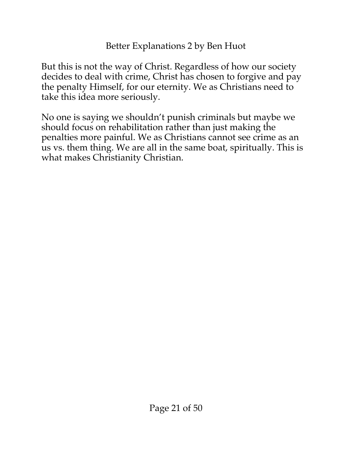But this is not the way of Christ. Regardless of how our society decides to deal with crime, Christ has chosen to forgive and pay the penalty Himself, for our eternity. We as Christians need to take this idea more seriously.

No one is saying we shouldn't punish criminals but maybe we should focus on rehabilitation rather than just making the penalties more painful. We as Christians cannot see crime as an us vs. them thing. We are all in the same boat, spiritually. This is what makes Christianity Christian.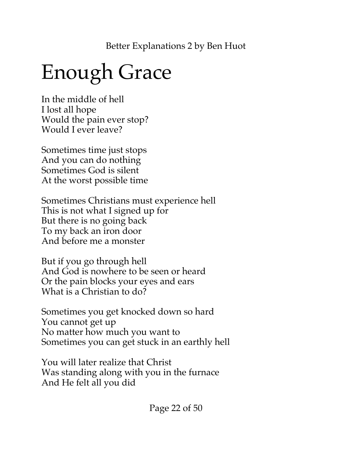# <span id="page-21-0"></span>Enough Grace

In the middle of hell I lost all hope Would the pain ever stop? Would I ever leave?

Sometimes time just stops And you can do nothing Sometimes God is silent At the worst possible time

Sometimes Christians must experience hell This is not what I signed up for But there is no going back To my back an iron door And before me a monster

But if you go through hell And God is nowhere to be seen or heard Or the pain blocks your eyes and ears What is a Christian to do?

Sometimes you get knocked down so hard You cannot get up No matter how much you want to Sometimes you can get stuck in an earthly hell

You will later realize that Christ Was standing along with you in the furnace And He felt all you did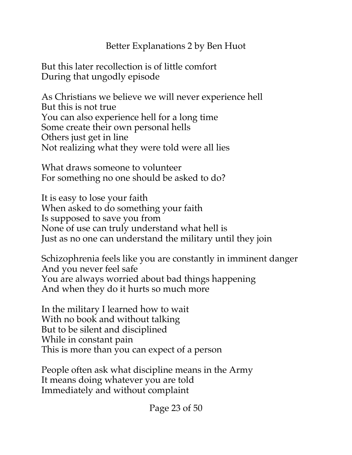But this later recollection is of little comfort During that ungodly episode

As Christians we believe we will never experience hell But this is not true You can also experience hell for a long time Some create their own personal hells Others just get in line Not realizing what they were told were all lies

What draws someone to volunteer For something no one should be asked to do?

It is easy to lose your faith When asked to do something your faith Is supposed to save you from None of use can truly understand what hell is Just as no one can understand the military until they join

Schizophrenia feels like you are constantly in imminent danger And you never feel safe You are always worried about bad things happening And when they do it hurts so much more

In the military I learned how to wait With no book and without talking But to be silent and disciplined While in constant pain This is more than you can expect of a person

People often ask what discipline means in the Army It means doing whatever you are told Immediately and without complaint

Page 23 of 50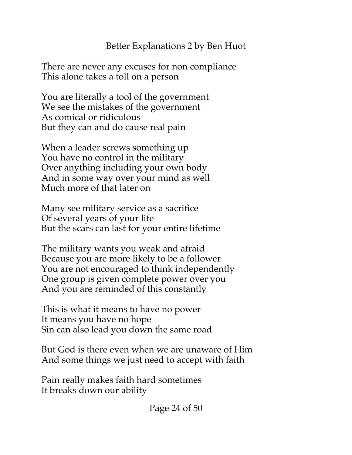There are never any excuses for non compliance This alone takes a toll on a person

You are literally a tool of the government We see the mistakes of the government As comical or ridiculous But they can and do cause real pain

When a leader screws something up You have no control in the military Over anything including your own body And in some way over your mind as well Much more of that later on

Many see military service as a sacrifice Of several years of your life But the scars can last for your entire lifetime

The military wants you weak and afraid Because you are more likely to be a follower You are not encouraged to think independently One group is given complete power over you And you are reminded of this constantly

This is what it means to have no power It means you have no hope Sin can also lead you down the same road

But God is there even when we are unaware of Him And some things we just need to accept with faith

Pain really makes faith hard sometimes It breaks down our ability

Page 24 of 50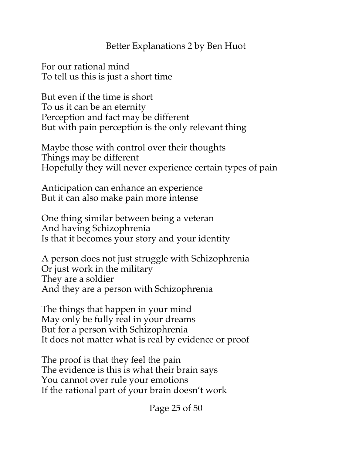For our rational mind To tell us this is just a short time

But even if the time is short To us it can be an eternity Perception and fact may be different But with pain perception is the only relevant thing

Maybe those with control over their thoughts Things may be different Hopefully they will never experience certain types of pain

Anticipation can enhance an experience But it can also make pain more intense

One thing similar between being a veteran And having Schizophrenia Is that it becomes your story and your identity

A person does not just struggle with Schizophrenia Or just work in the military They are a soldier And they are a person with Schizophrenia

The things that happen in your mind May only be fully real in your dreams But for a person with Schizophrenia It does not matter what is real by evidence or proof

The proof is that they feel the pain The evidence is this is what their brain says You cannot over rule your emotions If the rational part of your brain doesn't work

Page 25 of 50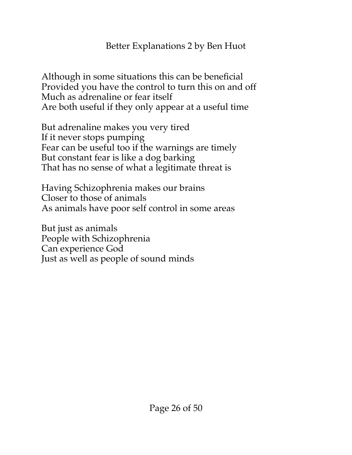Although in some situations this can be beneficial Provided you have the control to turn this on and off Much as adrenaline or fear itself Are both useful if they only appear at a useful time

But adrenaline makes you very tired If it never stops pumping Fear can be useful too if the warnings are timely But constant fear is like a dog barking That has no sense of what a legitimate threat is

Having Schizophrenia makes our brains Closer to those of animals As animals have poor self control in some areas

But just as animals People with Schizophrenia Can experience God Just as well as people of sound minds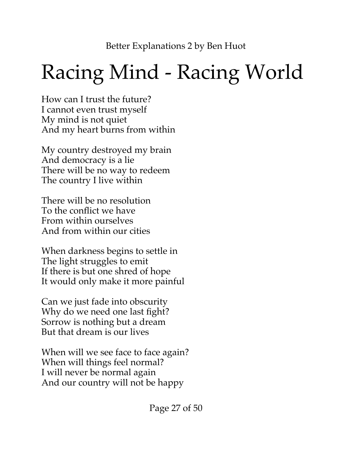# <span id="page-26-0"></span>Racing Mind - Racing World

How can I trust the future? I cannot even trust myself My mind is not quiet And my heart burns from within

My country destroyed my brain And democracy is a lie There will be no way to redeem The country I live within

There will be no resolution To the conflict we have From within ourselves And from within our cities

When darkness begins to settle in The light struggles to emit If there is but one shred of hope It would only make it more painful

Can we just fade into obscurity Why do we need one last fight? Sorrow is nothing but a dream But that dream is our lives

When will we see face to face again? When will things feel normal? I will never be normal again And our country will not be happy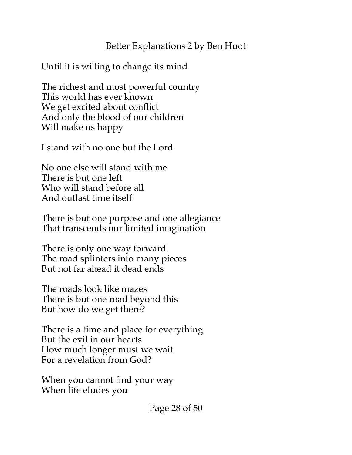Until it is willing to change its mind

The richest and most powerful country This world has ever known We get excited about conflict And only the blood of our children Will make us happy

I stand with no one but the Lord

No one else will stand with me There is but one left Who will stand before all And outlast time itself

There is but one purpose and one allegiance That transcends our limited imagination

There is only one way forward The road splinters into many pieces But not far ahead it dead ends

The roads look like mazes There is but one road beyond this But how do we get there?

There is a time and place for everything But the evil in our hearts How much longer must we wait For a revelation from God?

When you cannot find your way When life eludes you

Page 28 of 50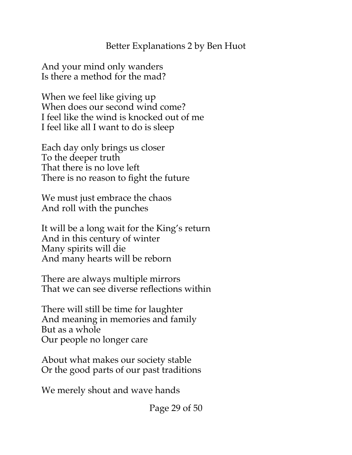And your mind only wanders Is there a method for the mad?

When we feel like giving up When does our second wind come? I feel like the wind is knocked out of me I feel like all I want to do is sleep

Each day only brings us closer To the deeper truth That there is no love left There is no reason to fight the future

We must just embrace the chaos And roll with the punches

It will be a long wait for the King's return And in this century of winter Many spirits will die And many hearts will be reborn

There are always multiple mirrors That we can see diverse reflections within

There will still be time for laughter And meaning in memories and family But as a whole Our people no longer care

About what makes our society stable Or the good parts of our past traditions

We merely shout and wave hands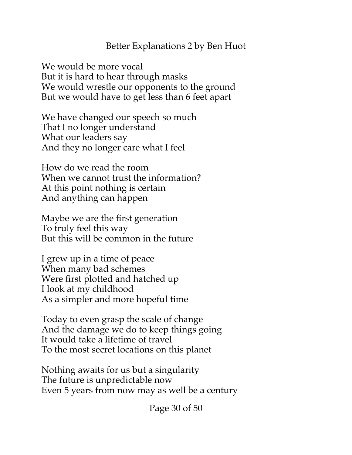We would be more vocal But it is hard to hear through masks We would wrestle our opponents to the ground But we would have to get less than 6 feet apart

We have changed our speech so much That I no longer understand What our leaders say And they no longer care what I feel

How do we read the room When we cannot trust the information? At this point nothing is certain And anything can happen

Maybe we are the first generation To truly feel this way But this will be common in the future

I grew up in a time of peace When many bad schemes Were first plotted and hatched up I look at my childhood As a simpler and more hopeful time

Today to even grasp the scale of change And the damage we do to keep things going It would take a lifetime of travel To the most secret locations on this planet

Nothing awaits for us but a singularity The future is unpredictable now Even 5 years from now may as well be a century

Page 30 of 50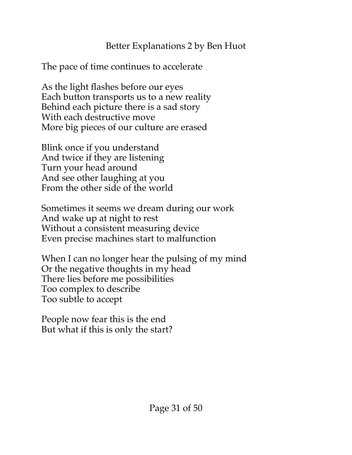The pace of time continues to accelerate

As the light flashes before our eyes Each button transports us to a new reality Behind each picture there is a sad story With each destructive move More big pieces of our culture are erased

Blink once if you understand And twice if they are listening Turn your head around And see other laughing at you From the other side of the world

Sometimes it seems we dream during our work And wake up at night to rest Without a consistent measuring device Even precise machines start to malfunction

When I can no longer hear the pulsing of my mind Or the negative thoughts in my head There lies before me possibilities Too complex to describe Too subtle to accept

People now fear this is the end But what if this is only the start?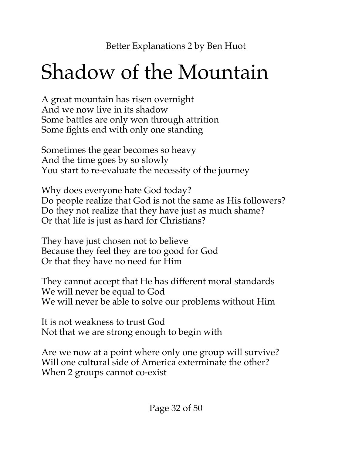# <span id="page-31-0"></span>Shadow of the Mountain

A great mountain has risen overnight And we now live in its shadow Some battles are only won through attrition Some fights end with only one standing

Sometimes the gear becomes so heavy And the time goes by so slowly You start to re-evaluate the necessity of the journey

Why does everyone hate God today? Do people realize that God is not the same as His followers? Do they not realize that they have just as much shame? Or that life is just as hard for Christians?

They have just chosen not to believe Because they feel they are too good for God Or that they have no need for Him

They cannot accept that He has different moral standards We will never be equal to God We will never be able to solve our problems without Him

It is not weakness to trust God Not that we are strong enough to begin with

Are we now at a point where only one group will survive? Will one cultural side of America exterminate the other? When 2 groups cannot co-exist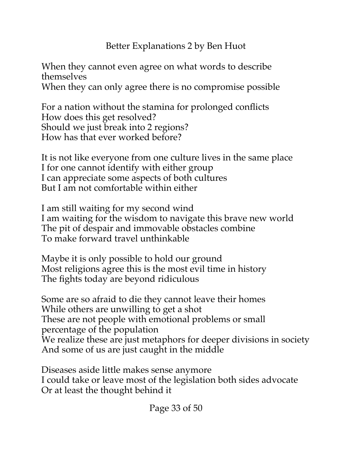When they cannot even agree on what words to describe themselves When they can only agree there is no compromise possible

For a nation without the stamina for prolonged conflicts How does this get resolved? Should we just break into 2 regions? How has that ever worked before?

It is not like everyone from one culture lives in the same place I for one cannot identify with either group I can appreciate some aspects of both cultures But I am not comfortable within either

I am still waiting for my second wind I am waiting for the wisdom to navigate this brave new world The pit of despair and immovable obstacles combine To make forward travel unthinkable

Maybe it is only possible to hold our ground Most religions agree this is the most evil time in history The fights today are beyond ridiculous

Some are so afraid to die they cannot leave their homes While others are unwilling to get a shot These are not people with emotional problems or small percentage of the population We realize these are just metaphors for deeper divisions in society And some of us are just caught in the middle

Diseases aside little makes sense anymore I could take or leave most of the legislation both sides advocate Or at least the thought behind it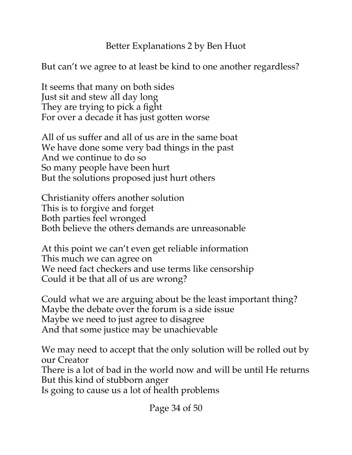But can't we agree to at least be kind to one another regardless?

It seems that many on both sides Just sit and stew all day long They are trying to pick a fight For over a decade it has just gotten worse

All of us suffer and all of us are in the same boat We have done some very bad things in the past And we continue to do so So many people have been hurt But the solutions proposed just hurt others

Christianity offers another solution This is to forgive and forget Both parties feel wronged Both believe the others demands are unreasonable

At this point we can't even get reliable information This much we can agree on We need fact checkers and use terms like censorship Could it be that all of us are wrong?

Could what we are arguing about be the least important thing? Maybe the debate over the forum is a side issue Maybe we need to just agree to disagree And that some justice may be unachievable

We may need to accept that the only solution will be rolled out by our Creator There is a lot of bad in the world now and will be until He returns But this kind of stubborn anger

Is going to cause us a lot of health problems

Page 34 of 50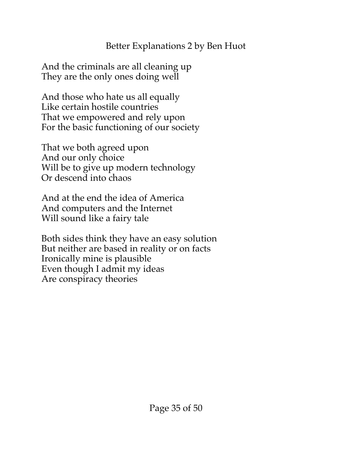And the criminals are all cleaning up They are the only ones doing well

And those who hate us all equally Like certain hostile countries That we empowered and rely upon For the basic functioning of our society

That we both agreed upon And our only choice Will be to give up modern technology Or descend into chaos

And at the end the idea of America And computers and the Internet Will sound like a fairy tale

Both sides think they have an easy solution But neither are based in reality or on facts Ironically mine is plausible Even though I admit my ideas Are conspiracy theories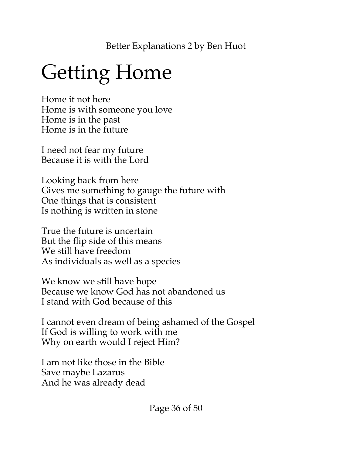# <span id="page-35-0"></span>Getting Home

Home it not here Home is with someone you love Home is in the past Home is in the future

I need not fear my future Because it is with the Lord

Looking back from here Gives me something to gauge the future with One things that is consistent Is nothing is written in stone

True the future is uncertain But the flip side of this means We still have freedom As individuals as well as a species

We know we still have hope Because we know God has not abandoned us I stand with God because of this

I cannot even dream of being ashamed of the Gospel If God is willing to work with me Why on earth would I reject Him?

I am not like those in the Bible Save maybe Lazarus And he was already dead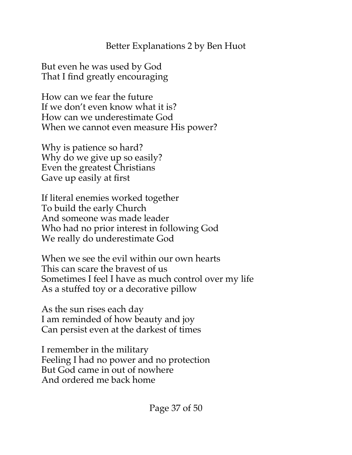But even he was used by God That I find greatly encouraging

How can we fear the future If we don't even know what it is? How can we underestimate God When we cannot even measure His power?

Why is patience so hard? Why do we give up so easily? Even the greatest Christians Gave up easily at first

If literal enemies worked together To build the early Church And someone was made leader Who had no prior interest in following God We really do underestimate God

When we see the evil within our own hearts This can scare the bravest of us Sometimes I feel I have as much control over my life As a stuffed toy or a decorative pillow

As the sun rises each day I am reminded of how beauty and joy Can persist even at the darkest of times

I remember in the military Feeling I had no power and no protection But God came in out of nowhere And ordered me back home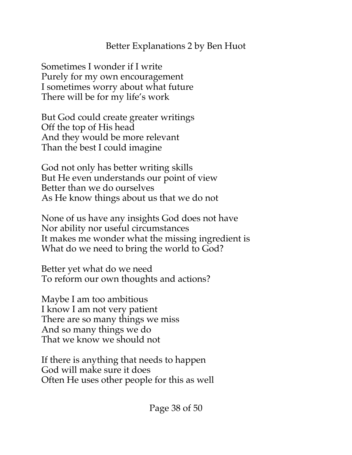Sometimes I wonder if I write Purely for my own encouragement I sometimes worry about what future There will be for my life's work

But God could create greater writings Off the top of His head And they would be more relevant Than the best I could imagine

God not only has better writing skills But He even understands our point of view Better than we do ourselves As He know things about us that we do not

None of us have any insights God does not have Nor ability nor useful circumstances It makes me wonder what the missing ingredient is What do we need to bring the world to God?

Better yet what do we need To reform our own thoughts and actions?

Maybe I am too ambitious I know I am not very patient There are so many things we miss And so many things we do That we know we should not

If there is anything that needs to happen God will make sure it does Often He uses other people for this as well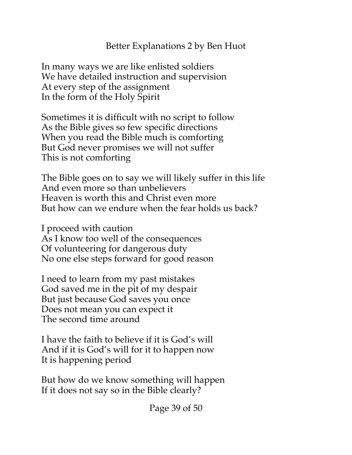In many ways we are like enlisted soldiers We have detailed instruction and supervision At every step of the assignment In the form of the Holy Spirit

Sometimes it is difficult with no script to follow As the Bible gives so few specific directions When you read the Bible much is comforting But God never promises we will not suffer This is not comforting

The Bible goes on to say we will likely suffer in this life And even more so than unbelievers Heaven is worth this and Christ even more But how can we endure when the fear holds us back?

I proceed with caution As I know too well of the consequences Of volunteering for dangerous duty No one else steps forward for good reason

I need to learn from my past mistakes God saved me in the pit of my despair But just because God saves you once Does not mean you can expect it The second time around

I have the faith to believe if it is God's will And if it is God's will for it to happen now It is happening period

But how do we know something will happen If it does not say so in the Bible clearly?

Page 39 of 50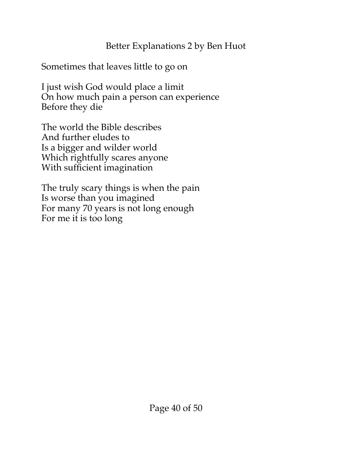Sometimes that leaves little to go on

I just wish God would place a limit On how much pain a person can experience Before they die

The world the Bible describes And further eludes to Is a bigger and wilder world Which rightfully scares anyone With sufficient imagination

The truly scary things is when the pain Is worse than you imagined For many 70 years is not long enough For me it is too long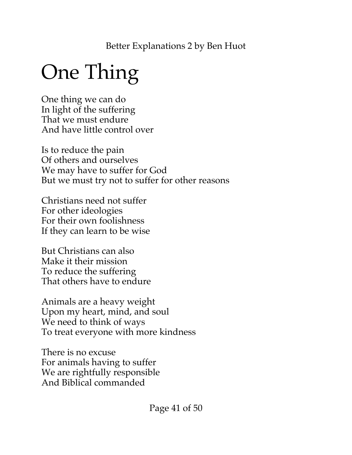# <span id="page-40-0"></span>One Thing

One thing we can do In light of the suffering That we must endure And have little control over

Is to reduce the pain Of others and ourselves We may have to suffer for God But we must try not to suffer for other reasons

Christians need not suffer For other ideologies For their own foolishness If they can learn to be wise

But Christians can also Make it their mission To reduce the suffering That others have to endure

Animals are a heavy weight Upon my heart, mind, and soul We need to think of ways To treat everyone with more kindness

There is no excuse For animals having to suffer We are rightfully responsible And Biblical commanded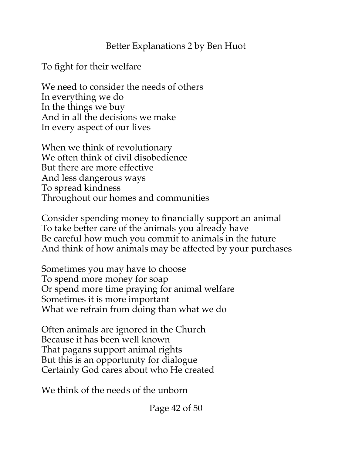To fight for their welfare

We need to consider the needs of others In everything we do In the things we buy And in all the decisions we make In every aspect of our lives

When we think of revolutionary We often think of civil disobedience But there are more effective And less dangerous ways To spread kindness Throughout our homes and communities

Consider spending money to financially support an animal To take better care of the animals you already have Be careful how much you commit to animals in the future And think of how animals may be affected by your purchases

Sometimes you may have to choose To spend more money for soap Or spend more time praying for animal welfare Sometimes it is more important What we refrain from doing than what we do

Often animals are ignored in the Church Because it has been well known That pagans support animal rights But this is an opportunity for dialogue Certainly God cares about who He created

We think of the needs of the unborn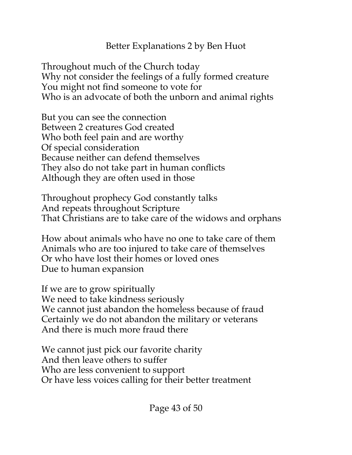Throughout much of the Church today Why not consider the feelings of a fully formed creature You might not find someone to vote for Who is an advocate of both the unborn and animal rights

But you can see the connection Between 2 creatures God created Who both feel pain and are worthy Of special consideration Because neither can defend themselves They also do not take part in human conflicts Although they are often used in those

Throughout prophecy God constantly talks And repeats throughout Scripture That Christians are to take care of the widows and orphans

How about animals who have no one to take care of them Animals who are too injured to take care of themselves Or who have lost their homes or loved ones Due to human expansion

If we are to grow spiritually We need to take kindness seriously We cannot just abandon the homeless because of fraud Certainly we do not abandon the military or veterans And there is much more fraud there

We cannot just pick our favorite charity And then leave others to suffer Who are less convenient to support Or have less voices calling for their better treatment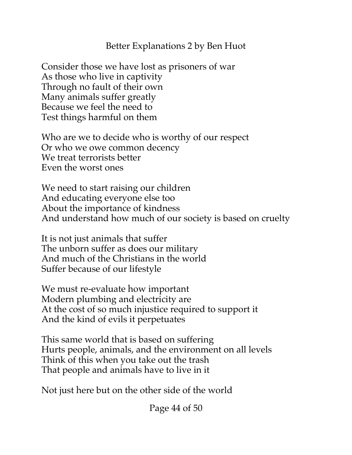Consider those we have lost as prisoners of war As those who live in captivity Through no fault of their own Many animals suffer greatly Because we feel the need to Test things harmful on them

Who are we to decide who is worthy of our respect Or who we owe common decency We treat terrorists better Even the worst ones

We need to start raising our children And educating everyone else too About the importance of kindness And understand how much of our society is based on cruelty

It is not just animals that suffer The unborn suffer as does our military And much of the Christians in the world Suffer because of our lifestyle

We must re-evaluate how important Modern plumbing and electricity are At the cost of so much injustice required to support it And the kind of evils it perpetuates

This same world that is based on suffering Hurts people, animals, and the environment on all levels Think of this when you take out the trash That people and animals have to live in it

Not just here but on the other side of the world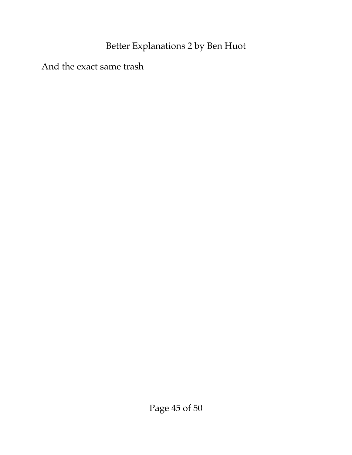And the exact same trash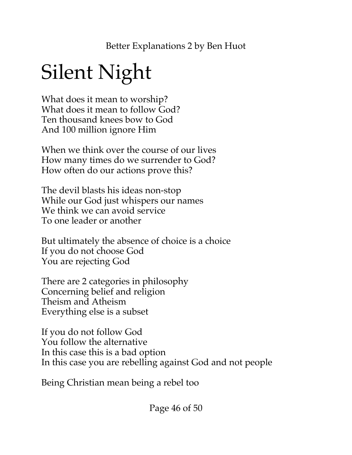# <span id="page-45-0"></span>Silent Night

What does it mean to worship? What does it mean to follow God? Ten thousand knees bow to God And 100 million ignore Him

When we think over the course of our lives How many times do we surrender to God? How often do our actions prove this?

The devil blasts his ideas non-stop While our God just whispers our names We think we can avoid service To one leader or another

But ultimately the absence of choice is a choice If you do not choose God You are rejecting God

There are 2 categories in philosophy Concerning belief and religion Theism and Atheism Everything else is a subset

If you do not follow God You follow the alternative In this case this is a bad option In this case you are rebelling against God and not people

Being Christian mean being a rebel too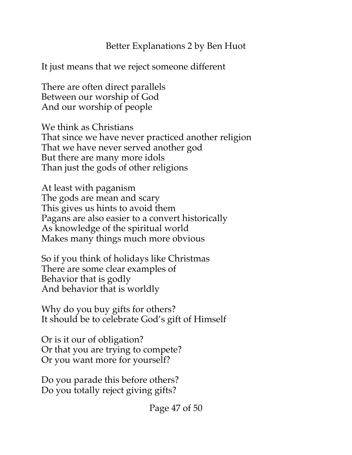It just means that we reject someone different

There are often direct parallels Between our worship of God And our worship of people

We think as Christians That since we have never practiced another religion That we have never served another god But there are many more idols Than just the gods of other religions

At least with paganism The gods are mean and scary This gives us hints to avoid them Pagans are also easier to a convert historically As knowledge of the spiritual world Makes many things much more obvious

So if you think of holidays like Christmas There are some clear examples of Behavior that is godly And behavior that is worldly

Why do you buy gifts for others? It should be to celebrate God's gift of Himself

Or is it our of obligation? Or that you are trying to compete? Or you want more for yourself?

Do you parade this before others? Do you totally reject giving gifts?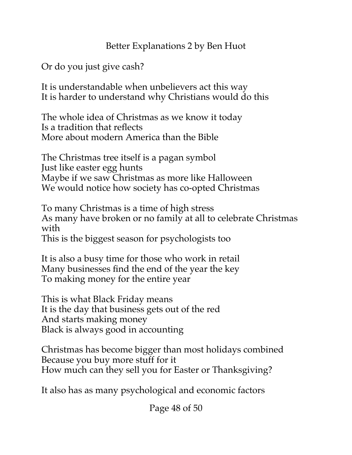Or do you just give cash?

It is understandable when unbelievers act this way It is harder to understand why Christians would do this

The whole idea of Christmas as we know it today Is a tradition that reflects More about modern America than the Bible

The Christmas tree itself is a pagan symbol Just like easter egg hunts Maybe if we saw Christmas as more like Halloween We would notice how society has co-opted Christmas

To many Christmas is a time of high stress As many have broken or no family at all to celebrate Christmas with

This is the biggest season for psychologists too

It is also a busy time for those who work in retail Many businesses find the end of the year the key To making money for the entire year

This is what Black Friday means It is the day that business gets out of the red And starts making money Black is always good in accounting

Christmas has become bigger than most holidays combined Because you buy more stuff for it How much can they sell you for Easter or Thanksgiving?

It also has as many psychological and economic factors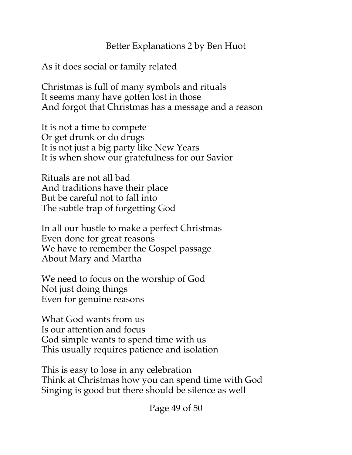As it does social or family related

Christmas is full of many symbols and rituals It seems many have gotten lost in those And forgot that Christmas has a message and a reason

It is not a time to compete Or get drunk or do drugs It is not just a big party like New Years It is when show our gratefulness for our Savior

Rituals are not all bad And traditions have their place But be careful not to fall into The subtle trap of forgetting God

In all our hustle to make a perfect Christmas Even done for great reasons We have to remember the Gospel passage About Mary and Martha

We need to focus on the worship of God Not just doing things Even for genuine reasons

What God wants from us Is our attention and focus God simple wants to spend time with us This usually requires patience and isolation

This is easy to lose in any celebration Think at Christmas how you can spend time with God Singing is good but there should be silence as well

Page 49 of 50